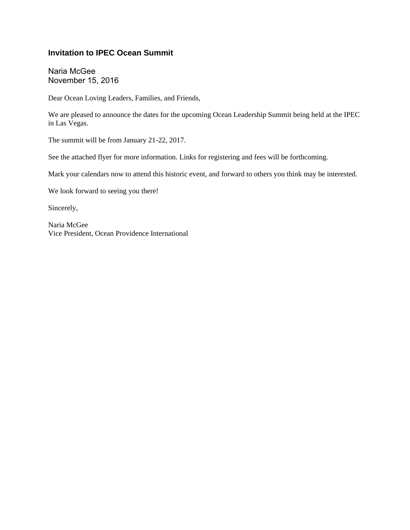### **Invitation to IPEC Ocean Summit**

Naria McGee November 15, 2016

Dear Ocean Loving Leaders, Families, and Friends,

We are pleased to announce the dates for the upcoming Ocean Leadership Summit being held at the IPEC in Las Vegas.

The summit will be from January 21-22, 2017.

See the attached flyer for more information. Links for registering and fees will be forthcoming.

Mark your calendars now to attend this historic event, and forward to others you think may be interested.

We look forward to seeing you there!

Sincerely,

Naria McGee Vice President, Ocean Providence International